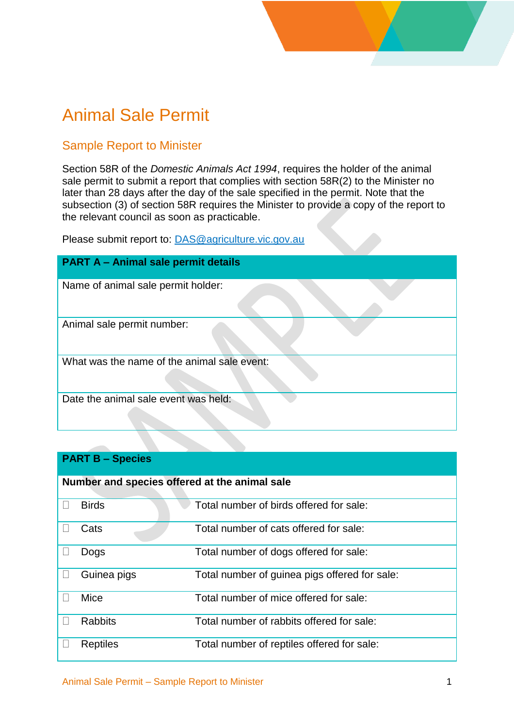# Animal Sale Permit

### Sample Report to Minister

Section 58R of the *Domestic Animals Act 1994*, requires the holder of the animal sale permit to submit a report that complies with section 58R(2) to the Minister no later than 28 days after the day of the sale specified in the permit. Note that the subsection (3) of section 58R requires the Minister to provide a copy of the report to the relevant council as soon as practicable.

Please submit report to: [DAS@agriculture.vic.gov.au](mailto:DAS@agriculture.vic.gov.au)

| <b>PART A - Animal sale permit details</b>  |
|---------------------------------------------|
| Name of animal sale permit holder:          |
| Animal sale permit number:                  |
| What was the name of the animal sale event: |
| Date the animal sale event was held:        |

#### **PART B – Species**

| Number and species offered at the animal sale |                 |                                               |  |  |  |
|-----------------------------------------------|-----------------|-----------------------------------------------|--|--|--|
|                                               |                 |                                               |  |  |  |
|                                               | <b>Birds</b>    | Total number of birds offered for sale:       |  |  |  |
|                                               | Cats            | Total number of cats offered for sale:        |  |  |  |
|                                               | Dogs            | Total number of dogs offered for sale:        |  |  |  |
|                                               | Guinea pigs     | Total number of guinea pigs offered for sale: |  |  |  |
|                                               | Mice            | Total number of mice offered for sale:        |  |  |  |
|                                               | <b>Rabbits</b>  | Total number of rabbits offered for sale:     |  |  |  |
|                                               | <b>Reptiles</b> | Total number of reptiles offered for sale:    |  |  |  |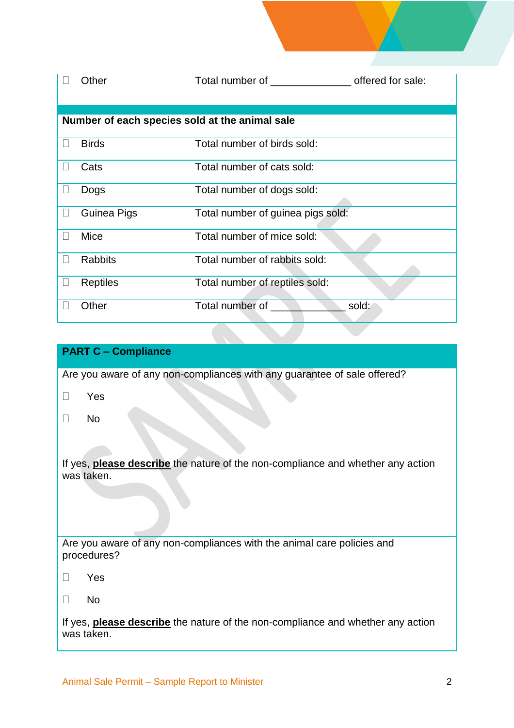|                                                | Other           | Total number of <b>Example 2019</b> | offered for sale: |  |  |
|------------------------------------------------|-----------------|-------------------------------------|-------------------|--|--|
| Number of each species sold at the animal sale |                 |                                     |                   |  |  |
|                                                | <b>Birds</b>    | Total number of birds sold:         |                   |  |  |
|                                                | Cats            | Total number of cats sold:          |                   |  |  |
|                                                | Dogs            | Total number of dogs sold:          |                   |  |  |
|                                                | Guinea Pigs     | Total number of guinea pigs sold:   |                   |  |  |
|                                                | Mice            | Total number of mice sold:          |                   |  |  |
|                                                | <b>Rabbits</b>  | Total number of rabbits sold:       |                   |  |  |
|                                                | <b>Reptiles</b> | Total number of reptiles sold:      |                   |  |  |
|                                                | Other           | Total number of                     | sold:             |  |  |

#### **PART C – Compliance**

Are you aware of any non-compliances with any guarantee of sale offered?

Yes

No

If yes, **please describe** the nature of the non-compliance and whether any action was taken.

Are you aware of any non-compliances with the animal care policies and procedures?

- Yes
- $\square$  No

If yes, **please describe** the nature of the non-compliance and whether any action was taken.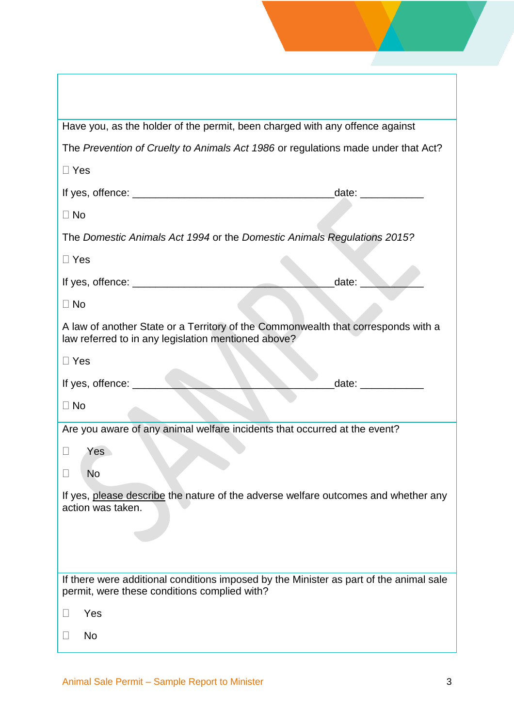| Have you, as the holder of the permit, been charged with any offence against                                                             |                       |
|------------------------------------------------------------------------------------------------------------------------------------------|-----------------------|
| The Prevention of Cruelty to Animals Act 1986 or regulations made under that Act?                                                        |                       |
| $\Box$ Yes                                                                                                                               |                       |
|                                                                                                                                          |                       |
| $\Box$ No                                                                                                                                |                       |
| The Domestic Animals Act 1994 or the Domestic Animals Regulations 2015?                                                                  |                       |
| $\Box$ Yes                                                                                                                               |                       |
|                                                                                                                                          | date:                 |
| $\Box$ No                                                                                                                                |                       |
| A law of another State or a Territory of the Commonwealth that corresponds with a<br>law referred to in any legislation mentioned above? |                       |
| $\Box$ Yes                                                                                                                               |                       |
|                                                                                                                                          | date: $\qquad \qquad$ |
| $\Box$ No                                                                                                                                |                       |
|                                                                                                                                          |                       |
| Are you aware of any animal welfare incidents that occurred at the event?                                                                |                       |
| Yes                                                                                                                                      |                       |
| <b>No</b>                                                                                                                                |                       |
| If yes, please describe the nature of the adverse welfare outcomes and whether any<br>action was taken.                                  |                       |
| If there were additional conditions imposed by the Minister as part of the animal sale<br>permit, were these conditions complied with?   |                       |
| Yes                                                                                                                                      |                       |